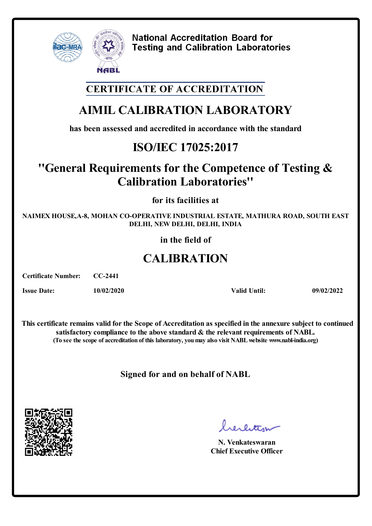

### **CERTIFICATE OF ACCREDITATION**

# **AIMIL CALIBRATION LABORATORY**

**has been assessed and accredited in accordance with the standard**

## **ISO/IEC 17025:2017**

### **''General Requirements for the Competence of Testing & Calibration Laboratories''**

**for its facilities at**

**NAIMEX HOUSE,A-8, MOHAN CO-OPERATIVE INDUSTRIAL ESTATE, MATHURA ROAD, SOUTH EAST DELHI, NEW DELHI, DELHI, INDIA**

**in the field of**

# **CALIBRATION**

**Certificate Number: CC-2441**

**Issue Date: 10/02/2020 Valid Until: 09/02/2022**

**This certificate remains valid forthe Scope of Accreditation as specified in the annexure subject to continued satisfactory compliance to the above standard & the relevant requirements of NABL. (To see the scope of accreditation of this laboratory, youmay also visit NABLwebsite www.nabl-india.org)**

**Signed for and on behalf of NABL**



bereitige

**N. Venkateswaran Chief Executive Officer**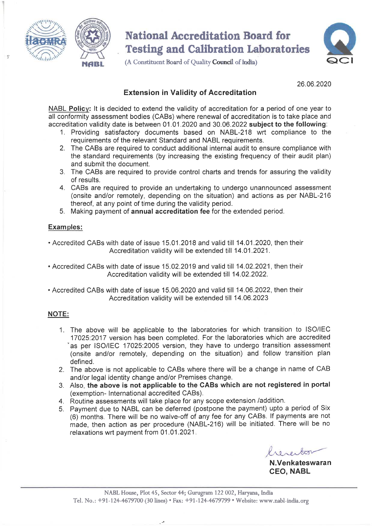

(A Constituent Board of Quality Council of India)



26.06.2020

#### **Extension in Validity of Accreditation**

NABL Policy: It is decided to extend the validity of accreditation for a period of one year to all conformity assessment bodies (CABs) where renewal of accreditation is to take place and accreditation validity date is between 01.01.2020 and 30.06.2022 subject to the following:

- 1. Providing satisfactory documents based on NABL-218 wrt compliance to the requirements of the relevant Standard and NABL requirements.
- 2. The CABs are required to conduct additional internal audit to ensure compliance with the standard requirements (by increasing the existing frequency of their audit plan) and submit the document.
- 3. The CABs are required to provide control charts and trends for assuring the validity of results
- 4. CABs are required to provide an undertaking to undergo unannounced assessment (onsite and/or remotely, depending on the situation) and actions as per NABL-216 thereof, at any point of time during the validity period.
- 5. Making payment of annual accreditation fee for the extended period.

#### **Examples:**

- Accredited CABs with date of issue 15.01.2018 and valid till 14.01.2020, then their Accreditation validity will be extended till 14.01.2021.
- Accredited CABs with date of issue 15.02.2019 and valid till 14.02.2021, then their Accreditation validity will be extended till 14.02.2022.
- Accredited CABs with date of issue 15.06.2020 and valid till 14.06.2022, then their Accreditation validity will be extended till 14.06.2023

#### **NOTE:**

- 1. The above will be applicable to the laboratories for which transition to ISO/IEC 17025:2017 version has been completed. For the laboratories which are accredited as per ISO/IEC 17025:2005 version, they have to undergo transition assessment (onsite and/or remotely, depending on the situation) and follow transition plan defined.
- 2. The above is not applicable to CABs where there will be a change in name of CAB and/or legal identity change and/or Premises change.
- 3. Also, the above is not applicable to the CABs which are not registered in portal (exemption-International accredited CABs).
- 4. Routine assessments will take place for any scope extension /addition.
- 5. Payment due to NABL can be deferred (postpone the payment) upto a period of Six (6) months. There will be no waive-off of any fee for any CABs. If payments are not made, then action as per procedure (NABL-216) will be initiated. There will be no relaxations wrt payment from 01.01.2021.

N.Venkateswaran **CEO, NABL**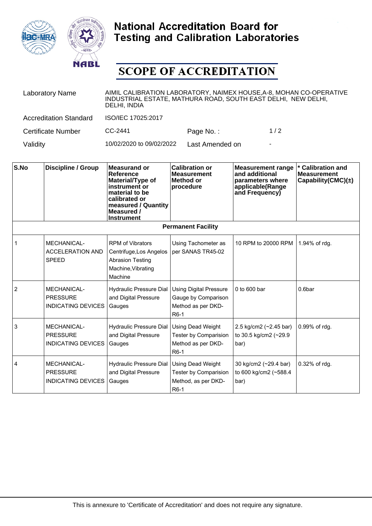



# **SCOPE OF ACCREDITATION**

| <b>Laboratory Name</b>        | AIMIL CALIBRATION LABORATORY, NAIMEX HOUSE, A-8, MOHAN CO-OPERATIVE<br>INDUSTRIAL ESTATE, MATHURA ROAD, SOUTH EAST DELHI, NEW DELHI,<br>DELHI, INDIA |                 |     |  |
|-------------------------------|------------------------------------------------------------------------------------------------------------------------------------------------------|-----------------|-----|--|
| <b>Accreditation Standard</b> | ISO/IEC 17025:2017                                                                                                                                   |                 |     |  |
| <b>Certificate Number</b>     | $CC-2441$                                                                                                                                            | Page No.:       | 1/2 |  |
| Validity                      | 10/02/2020 to 09/02/2022                                                                                                                             | Last Amended on | ۰   |  |

| S.No                      | Discipline / Group                                                 | Measurand or<br><b>Reference</b><br>Material/Type of<br>instrument or<br>material to be<br>calibrated or<br>measured / Quantity<br>Measured /<br><b>Instrument</b> | <b>Calibration or</b><br><b>Measurement</b><br>Method or<br>procedure                           | <b>Measurement range</b><br>and additional<br>parameters where<br>applicable(Range<br>and Frequency) | <b>Calibration and</b><br><b>Measurement</b><br>Capability(CMC) $(\pm)$ |
|---------------------------|--------------------------------------------------------------------|--------------------------------------------------------------------------------------------------------------------------------------------------------------------|-------------------------------------------------------------------------------------------------|------------------------------------------------------------------------------------------------------|-------------------------------------------------------------------------|
| <b>Permanent Facility</b> |                                                                    |                                                                                                                                                                    |                                                                                                 |                                                                                                      |                                                                         |
|                           | MECHANICAL-<br><b>ACCELERATION AND</b><br><b>SPEED</b>             | <b>RPM of Vibrators</b><br>Centrifuge, Los Angelos<br><b>Abrasion Testing</b><br>Machine, Vibrating<br>Machine                                                     | Using Tachometer as<br>per SANAS TR45-02                                                        | 10 RPM to 20000 RPM                                                                                  | 1.94% of rdg.                                                           |
| 2                         | MECHANICAL-<br><b>PRESSURE</b><br><b>INDICATING DEVICES</b>        | Hydraulic Pressure Dial<br>and Digital Pressure<br>Gauges                                                                                                          | <b>Using Digital Pressure</b><br>Gauge by Comparison<br>Method as per DKD-<br>R <sub>6</sub> -1 | 0 to 600 bar                                                                                         | 0.6bar                                                                  |
| 3                         | MECHANICAL-<br><b>PRESSURE</b><br><b>INDICATING DEVICES</b>        | Hydraulic Pressure Dial<br>and Digital Pressure<br>Gauges                                                                                                          | Using Dead Weight<br>Tester by Comparision<br>Method as per DKD-<br>R <sub>6</sub> -1           | 2.5 kg/cm2 $(-2.45 \text{ bar})$<br>to 30.5 kg/cm2 (~29.9<br>bar)                                    | 0.99% of rdg.                                                           |
| 4                         | <b>MECHANICAL-</b><br><b>PRESSURE</b><br><b>INDICATING DEVICES</b> | Hydraulic Pressure Dial<br>and Digital Pressure<br>Gauges                                                                                                          | Using Dead Weight<br>Tester by Comparision<br>Method, as per DKD-<br>R <sub>6</sub> -1          | 30 kg/cm2 (~29.4 bar)<br>to 600 kg/cm2 (~588.4<br>bar)                                               | 0.32% of rdg.                                                           |